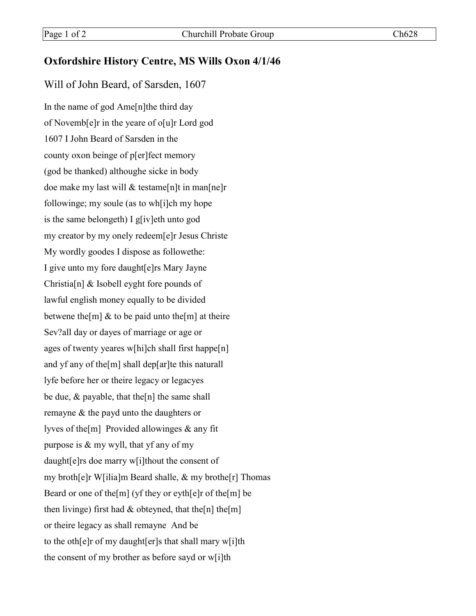## **Oxfordshire History Centre, MS Wills Oxon 4/1/46**

## Will of John Beard, of Sarsden, 1607

In the name of god Ame[n]the third day of Novemb[e]r in the yeare of o[u]r Lord god 1607 I John Beard of Sarsden in the county oxon beinge of p[er]fect memory (god be thanked) althoughe sicke in body doe make my last will & testame[n]t in man[ne]r followinge; my soule (as to wh[i]ch my hope is the same belongeth) I g[iv]eth unto god my creator by my onely redeem[e]r Jesus Christe My wordly goodes I dispose as followethe: I give unto my fore daught[e]rs Mary Jayne Christia[n] & Isobell eyght fore pounds of lawful english money equally to be divided betwene the  $[m]$  & to be paid unto the  $[m]$  at theire Sev?all day or dayes of marriage or age or ages of twenty yeares w[hi]ch shall first happe[n] and yf any of the[m] shall dep[ar]te this naturall lyfe before her or theire legacy or legacyes be due,  $\&$  payable, that the [n] the same shall remayne & the payd unto the daughters or lyves of the[m] Provided allowinges & any fit purpose is & my wyll, that yf any of my daught[e]rs doe marry w[i]thout the consent of my broth[e]r W[ilia]m Beard shalle, & my brothe[r] Thomas Beard or one of the[m] (yf they or eyth[e]r of the[m] be then livinge) first had  $&$  obteyned, that the[n] the[m] or theire legacy as shall remayne And be to the oth[e]r of my daught[er]s that shall mary w[i]th the consent of my brother as before sayd or w[i]th